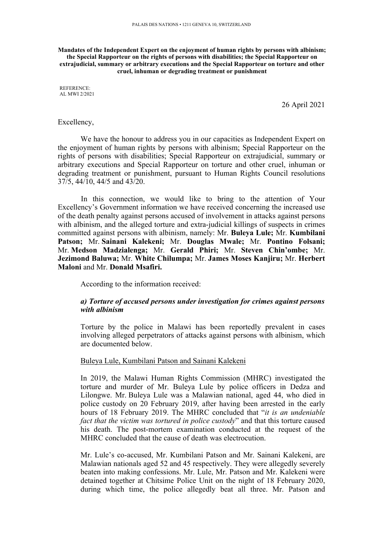**Mandates of the Independent Expert on the enjoyment of human rights by persons with albinism; the Special Rapporteur on the rights of persons with disabilities; the Special Rapporteur on extrajudicial, summary or arbitrary executions and the Special Rapporteur on torture and other cruel, inhuman or degrading treatment or punishment**

REFERENCE: AL MWI 2/2021

26 April 2021

#### Excellency,

We have the honour to address you in our capacities as Independent Expert on the enjoyment of human rights by persons with albinism; Special Rapporteur on the rights of persons with disabilities; Special Rapporteur on extrajudicial, summary or arbitrary executions and Special Rapporteur on torture and other cruel, inhuman or degrading treatment or punishment, pursuan<sup>t</sup> to Human Rights Council resolutions 37/5, 44/10, 44/5 and 43/20.

In this connection, we would like to bring to the attention of Your Excellency'<sup>s</sup> Government information we have received concerning the increased use of the death penalty against persons accused of involvement in attacks against persons with albinism, and the alleged torture and extra-judicial killings of suspects in crimes committed against persons with albinism, namely: Mr. **Buleya Lule;** Mr. **Kumbilani Patson;** Mr. **Sainani Kalekeni;** Mr. **Douglas Mwale;** Mr. **Pontino Folsani;** Mr. **Medson Madzialenga;** Mr. **Gerald Phiri;** Mr. **Steven Chin'ombe;** Mr. **Jezimond Baluwa;** Mr. **White Chilumpa;** Mr. **James Moses Kanjiru;** Mr. **Herbert Maloni** and Mr. **Donald Msafiri.**

According to the information received:

### *a) Torture of accused persons under investigation for crimes against persons with albinism*

Torture by the police in Malawi has been reportedly prevalent in cases involving alleged perpetrators of attacks against persons with albinism, which are documented below.

# Buleya Lule, Kumbilani Patson and Sainani Kalekeni

In 2019, the Malawi Human Rights Commission (MHRC) investigated the torture and murder of Mr. Buleya Lule by police officers in Dedza and Lilongwe. Mr. Buleya Lule was <sup>a</sup> Malawian national, aged 44, who died in police custody on 20 February 2019, after having been arrested in the early hours of 18 February 2019. The MHRC concluded that "*it is an undeniable fact that the victim was tortured in police custody*" and that this torture caused his death. The post-mortem examination conducted at the reques<sup>t</sup> of the MHRC concluded that the cause of death was electrocution.

Mr. Lule'<sup>s</sup> co-accused, Mr. Kumbilani Patson and Mr. Sainani Kalekeni, are Malawian nationals aged 52 and 45 respectively. They were allegedly severely beaten into making confessions. Mr. Lule, Mr. Patson and Mr. Kalekeni were detained together at Chitsime Police Unit on the night of 18 February 2020, during which time, the police allegedly beat all three. Mr. Patson and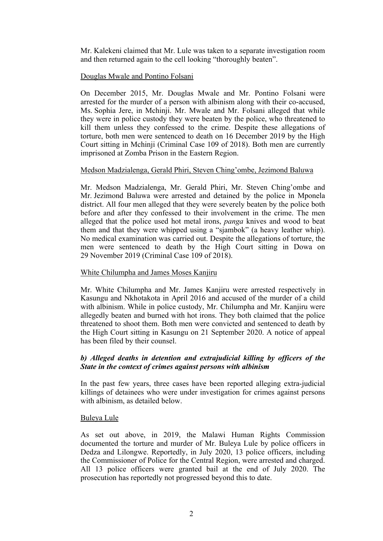Mr. Kalekeni claimed that Mr. Lule was taken to <sup>a</sup> separate investigation room and then returned again to the cell looking "thoroughly beaten".

# Douglas Mwale and Pontino Folsani

On December 2015, Mr. Douglas Mwale and Mr. Pontino Folsani were arrested for the murder of <sup>a</sup> person with albinism along with their co-accused, Ms. Sophia Jere, in Mchinji. Mr. Mwale and Mr. Folsani alleged that while they were in police custody they were beaten by the police, who threatened to kill them unless they confessed to the crime. Despite these allegations of torture, both men were sentenced to death on 16 December 2019 by the High Court sitting in Mchinji (Criminal Case 109 of 2018). Both men are currently imprisoned at Zomba Prison in the Eastern Region.

# Medson Madzialenga, Gerald Phiri, Steven Ching'ombe, Jezimond Baluwa

Mr. Medson Madzialenga, Mr. Gerald Phiri, Mr. Steven Ching'ombe and Mr. Jezimond Baluwa were arrested and detained by the police in Mponela district. All four men alleged that they were severely beaten by the police both before and after they confessed to their involvement in the crime. The men alleged that the police used hot metal irons, *panga* knives and wood to beat them and that they were whipped using <sup>a</sup> "sjambok" (a heavy leather whip). No medical examination was carried out. Despite the allegations of torture, the men were sentenced to death by the High Court sitting in Dowa on 29 November 2019 (Criminal Case 109 of 2018).

### White Chilumpha and James Moses Kanjiru

Mr. White Chilumpha and Mr. James Kanjiru were arrested respectively in Kasungu and Nkhotakota in April 2016 and accused of the murder of <sup>a</sup> child with albinism. While in police custody, Mr. Chilumpha and Mr. Kanjiru were allegedly beaten and burned with hot irons. They both claimed that the police threatened to shoot them. Both men were convicted and sentenced to death by the High Court sitting in Kasungu on 21 September 2020. A notice of appeal has been filed by their counsel.

# *b) Alleged deaths in detention and extrajudicial killing by officers of the State in the context of crimes against persons with albinism*

In the pas<sup>t</sup> few years, three cases have been reported alleging extra-judicial killings of detainees who were under investigation for crimes against persons with albinism, as detailed below.

### Buleya Lule

As set out above, in 2019, the Malawi Human Rights Commission documented the torture and murder of Mr. Buleya Lule by police officers in Dedza and Lilongwe. Reportedly, in July 2020, 13 police officers, including the Commissioner of Police for the Central Region, were arrested and charged. All 13 police officers were granted bail at the end of July 2020. The prosecution has reportedly not progressed beyond this to date.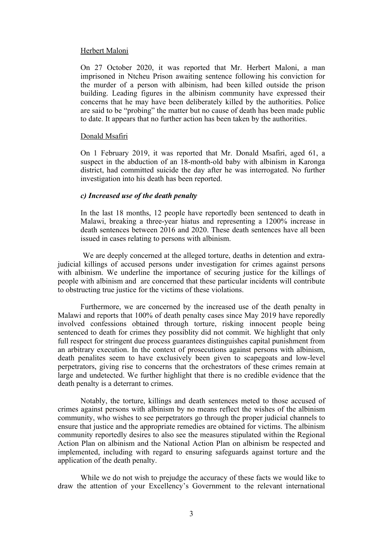#### Herbert Maloni

On 27 October 2020, it was reported that Mr. Herbert Maloni, <sup>a</sup> man imprisoned in Ntcheu Prison awaiting sentence following his conviction for the murder of <sup>a</sup> person with albinism, had been killed outside the prison building. Leading figures in the albinism community have expressed their concerns that he may have been deliberately killed by the authorities. Police are said to be "probing" the matter but no cause of death has been made public to date. It appears that no further action has been taken by the authorities.

### Donald Msafiri

On 1 February 2019, it was reported that Mr. Donald Msafiri, aged 61, <sup>a</sup> suspec<sup>t</sup> in the abduction of an 18-month-old baby with albinism in Karonga district, had committed suicide the day after he was interrogated. No further investigation into his death has been reported.

### *c) Increased use of the death penalty*

In the last 18 months, 12 people have reportedly been sentenced to death in Malawi, breaking <sup>a</sup> three-year hiatus and representing <sup>a</sup> 1200% increase in death sentences between 2016 and 2020. These death sentences have all been issued in cases relating to persons with albinism.

We are deeply concerned at the alleged torture, deaths in detention and extrajudicial killings of accused persons under investigation for crimes against persons with albinism. We underline the importance of securing justice for the killings of people with albinism and are concerned that these particular incidents will contribute to obstructing true justice for the victims of these violations.

Furthermore, we are concerned by the increased use of the death penalty in Malawi and reports that 100% of death penalty cases since May 2019 have reporedly involved confessions obtained through torture, risking innocent people being sentenced to death for crimes they possiblity did not commit. We highlight that only full respec<sup>t</sup> for stringent due process guarantees distinguishes capital punishment from an arbitrary execution. In the context of prosecutions against persons with albinism, death penalites seem to have exclusively been given to scapegoats and low-level perpetrators, giving rise to concerns that the orchestrators of these crimes remain at large and undetected. We further highlight that there is no credible evidence that the death penalty is <sup>a</sup> deterrant to crimes.

Notably, the torture, killings and death sentences meted to those accused of crimes against persons with albinism by no means reflect the wishes of the albinism community, who wishes to see perpetrators go through the proper judicial channels to ensure that justice and the appropriate remedies are obtained for victims. The albinism community reportedly desires to also see the measures stipulated within the Regional Action Plan on albinism and the National Action Plan on albinism be respected and implemented, including with regard to ensuring safeguards against torture and the application of the death penalty.

While we do not wish to prejudge the accuracy of these facts we would like to draw the attention of your Excellency'<sup>s</sup> Government to the relevant international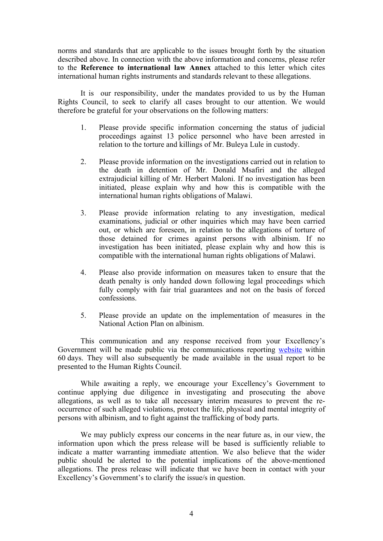norms and standards that are applicable to the issues brought forth by the situation described above. In connection with the above information and concerns, please refer to the **Reference to international law Annex** attached to this letter which cites international human rights instruments and standards relevant to these allegations.

It is our responsibility, under the mandates provided to us by the Human Rights Council, to seek to clarify all cases brought to our attention. We would therefore be grateful for your observations on the following matters:

- 1. Please provide specific information concerning the status of judicial proceedings against 13 police personnel who have been arrested in relation to the torture and killings of Mr. Buleya Lule in custody.
- 2. Please provide information on the investigations carried out in relation to the death in detention of Mr. Donald Msafiri and the alleged extrajudicial killing of Mr. Herbert Maloni. If no investigation has been initiated, please explain why and how this is compatible with the international human rights obligations of Malawi.
- 3. Please provide information relating to any investigation, medical examinations, judicial or other inquiries which may have been carried out, or which are foreseen, in relation to the allegations of torture of those detained for crimes against persons with albinism. If no investigation has been initiated, please explain why and how this is compatible with the international human rights obligations of Malawi.
- 4. Please also provide information on measures taken to ensure that the death penalty is only handed down following legal proceedings which fully comply with fair trial guarantees and not on the basis of forced confessions.
- 5. Please provide an update on the implementation of measures in the National Action Plan on albinism.

This communication and any response received from your Excellency'<sup>s</sup> Government will be made public via the communications reporting [website](https://spcommreports.ohchr.org/) within 60 days. They will also subsequently be made available in the usual repor<sup>t</sup> to be presented to the Human Rights Council.

While awaiting <sup>a</sup> reply, we encourage your Excellency'<sup>s</sup> Government to continue applying due diligence in investigating and prosecuting the above allegations, as well as to take all necessary interim measures to preven<sup>t</sup> the reoccurrence of such alleged violations, protect the life, physical and mental integrity of persons with albinism, and to fight against the trafficking of body parts.

We may publicly express our concerns in the near future as, in our view, the information upon which the press release will be based is sufficiently reliable to indicate <sup>a</sup> matter warranting immediate attention. We also believe that the wider public should be alerted to the potential implications of the above-mentioned allegations. The press release will indicate that we have been in contact with your Excellency'<sup>s</sup> Government'<sup>s</sup> to clarify the issue/s in question.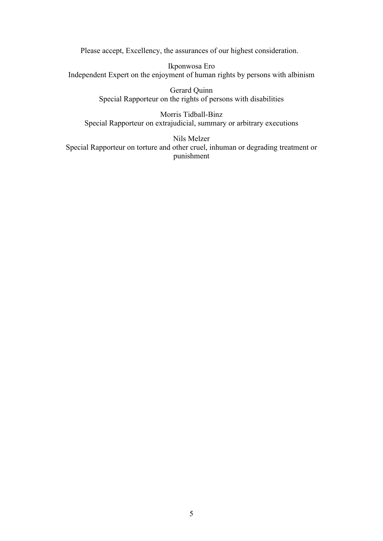Please accept, Excellency, the assurances of our highest consideration.

Ikponwosa Ero Independent Expert on the enjoyment of human rights by persons with albinism

> Gerard Quinn Special Rapporteur on the rights of persons with disabilities

Morris Tidball-Binz Special Rapporteur on extrajudicial, summary or arbitrary executions

Nils Melzer Special Rapporteur on torture and other cruel, inhuman or degrading treatment or punishment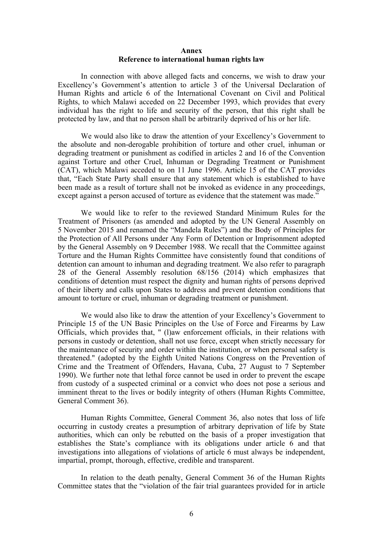### **Annex Reference to international human rights law**

In connection with above alleged facts and concerns, we wish to draw your Excellency'<sup>s</sup> Government'<sup>s</sup> attention to article 3 of the Universal Declaration of Human Rights and article 6 of the International Covenant on Civil and Political Rights, to which Malawi acceded on 22 December 1993, which provides that every individual has the right to life and security of the person, that this right shall be protected by law, and that no person shall be arbitrarily deprived of his or her life.

We would also like to draw the attention of your Excellency'<sup>s</sup> Government to the absolute and non-derogable prohibition of torture and other cruel, inhuman or degrading treatment or punishment as codified in articles 2 and 16 of the Convention against Torture and other Cruel, Inhuman or Degrading Treatment or Punishment (CAT), which Malawi acceded to on 11 June 1996. Article 15 of the CAT provides that, "Each State Party shall ensure that any statement which is established to have been made as <sup>a</sup> result of torture shall not be invoked as evidence in any proceedings, excep<sup>t</sup> against <sup>a</sup> person accused of torture as evidence that the statement was made."

We would like to refer to the reviewed Standard Minimum Rules for the Treatment of Prisoners (as amended and adopted by the UN General Assembly on 5 November 2015 and renamed the "Mandela Rules") and the Body of Principles for the Protection of All Persons under Any Form of Detention or Imprisonment adopted by the General Assembly on 9 December 1988. We recall that the Committee against Torture and the Human Rights Committee have consistently found that conditions of detention can amount to inhuman and degrading treatment. We also refer to paragraph 28 of the General Assembly resolution 68/156 (2014) which emphasizes that conditions of detention must respec<sup>t</sup> the dignity and human rights of persons deprived of their liberty and calls upon States to address and preven<sup>t</sup> detention conditions that amount to torture or cruel, inhuman or degrading treatment or punishment.

We would also like to draw the attention of your Excellency'<sup>s</sup> Government to Principle 15 of the UN Basic Principles on the Use of Force and Firearms by Law Officials, which provides that, " (l)aw enforcement officials, in their relations with persons in custody or detention, shall not use force, excep<sup>t</sup> when strictly necessary for the maintenance of security and order within the institution, or when personal safety is threatened." (adopted by the Eighth United Nations Congress on the Prevention of Crime and the Treatment of Offenders, Havana, Cuba, 27 August to 7 September 1990). We further note that lethal force cannot be used in order to preven<sup>t</sup> the escape from custody of <sup>a</sup> suspected criminal or <sup>a</sup> convict who does not pose <sup>a</sup> serious and imminent threat to the lives or bodily integrity of others (Human Rights Committee, General Comment 36).

Human Rights Committee, General Comment 36, also notes that loss of life occurring in custody creates <sup>a</sup> presumption of arbitrary deprivation of life by State authorities, which can only be rebutted on the basis of <sup>a</sup> proper investigation that establishes the State'<sup>s</sup> compliance with its obligations under article 6 and that investigations into allegations of violations of article 6 must always be independent, impartial, prompt, thorough, effective, credible and transparent.

In relation to the death penalty, General Comment 36 of the Human Rights Committee states that the "violation of the fair trial guarantees provided for in article